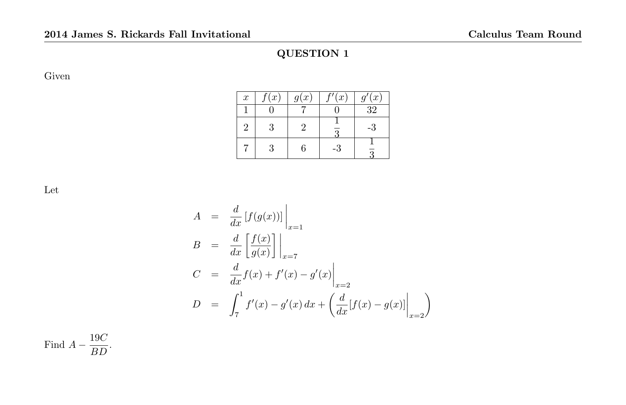Given

| $\boldsymbol{x}$ | $\sqrt[e]{x}$ | g(x) | (x) | '(x)<br>$q^{\prime}$ |
|------------------|---------------|------|-----|----------------------|
|                  |               |      |     | $\overline{32}$      |
| $\mathcal{D}$    | 3             | ٠,   |     | $-3$                 |
|                  | 3             | 6    | -3  |                      |

Let

$$
A = \frac{d}{dx} [f(g(x))] \Big|_{x=1}
$$
  
\n
$$
B = \frac{d}{dx} \left[ \frac{f(x)}{g(x)} \right] \Big|_{x=7}
$$
  
\n
$$
C = \frac{d}{dx} f(x) + f'(x) - g'(x) \Big|_{x=2}
$$
  
\n
$$
D = \int_7^1 f'(x) - g'(x) dx + \left( \frac{d}{dx} [f(x) - g(x)] \Big|_{x=2} \right)
$$

Find  $A - \frac{19C}{BD}$  $\frac{166}{BD}$ .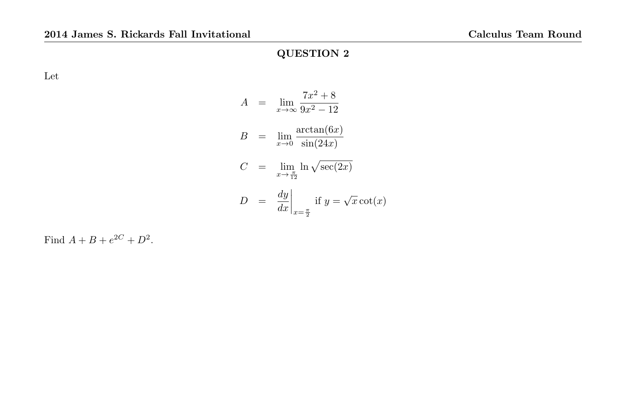Let

$$
A = \lim_{x \to \infty} \frac{7x^2 + 8}{9x^2 - 12}
$$
  
\n
$$
B = \lim_{x \to 0} \frac{\arctan(6x)}{\sin(24x)}
$$
  
\n
$$
C = \lim_{x \to \frac{\pi}{12}} \ln \sqrt{\sec(2x)}
$$
  
\n
$$
D = \frac{dy}{dx}\Big|_{x = \frac{\pi}{2}} \text{ if } y = \sqrt{x} \cot(x)
$$

Find  $A + B + e^{2C} + D^2$ .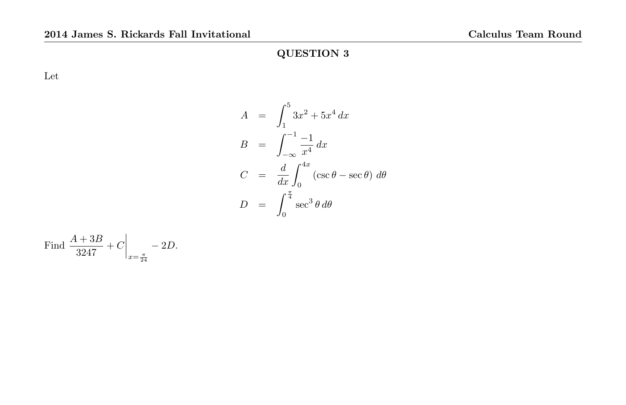Let

$$
A = \int_{1}^{5} 3x^{2} + 5x^{4} dx
$$
  
\n
$$
B = \int_{-\infty}^{-1} \frac{-1}{x^{4}} dx
$$
  
\n
$$
C = \frac{d}{dx} \int_{0}^{4x} (\csc \theta - \sec \theta) d\theta
$$
  
\n
$$
D = \int_{0}^{\frac{\pi}{4}} \sec^{3} \theta d\theta
$$

Find 
$$
\frac{A + 3B}{3247} + C \Big|_{x = \frac{\pi}{24}} - 2D.
$$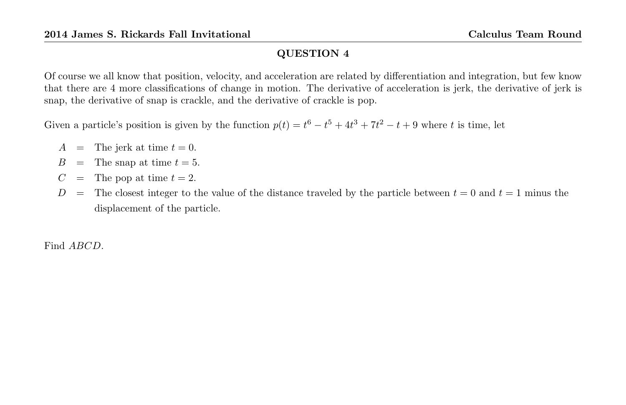Of course we all know that position, velocity, and acceleration are related by differentiation and integration, but few know that there are 4 more classifications of change in motion. The derivative of acceleration is jerk, the derivative of jerk is snap, the derivative of snap is crackle, and the derivative of crackle is pop.

Given a particle's position is given by the function  $p(t) = t^6 - t^5 + 4t^3 + 7t^2 - t + 9$  where t is time, let

- $A =$  The jerk at time  $t = 0$ .
- $B =$  The snap at time  $t = 5$ .
- $C =$  The pop at time  $t = 2$ .
- D = The closest integer to the value of the distance traveled by the particle between  $t = 0$  and  $t = 1$  minus the displacement of the particle.

Find ABCD.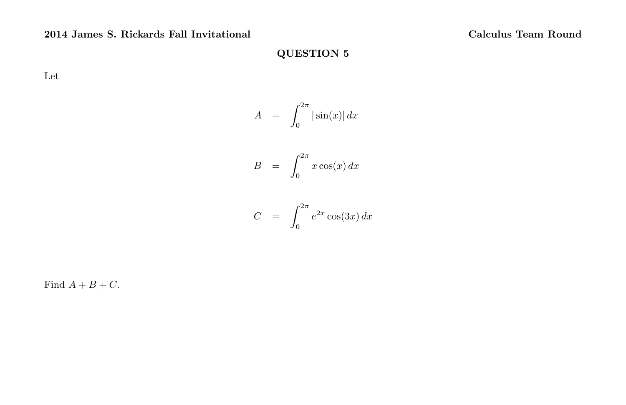Let

$$
A = \int_0^{2\pi} |\sin(x)| dx
$$

$$
B = \int_0^{2\pi} x \cos(x) \, dx
$$

$$
C = \int_0^{2\pi} e^{2x} \cos(3x) dx
$$

Find  $A + B + C$ .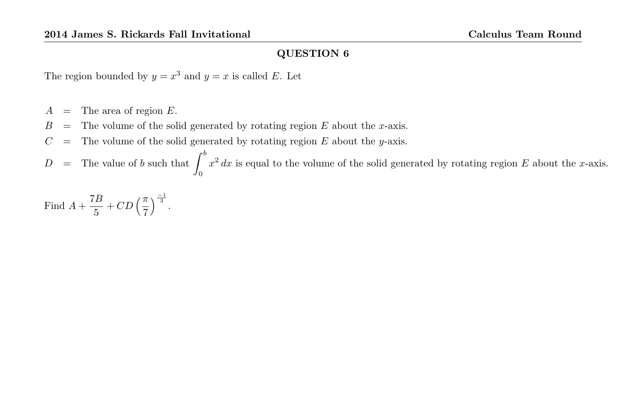The region bounded by  $y = x^3$  and  $y = x$  is called E. Let

- $A =$ The area of region E.
- $B =$  The volume of the solid generated by rotating region E about the x-axis.
- $C =$  The volume of the solid generated by rotating region E about the y-axis.

 $D =$  The value of b such that  $\int^b$ 0  $x^2 dx$  is equal to the volume of the solid generated by rotating region E about the x-axis.

Find  $A + \frac{7B}{5}$  $\frac{7B}{5}$  + CD  $\left(\frac{\pi}{7}\right)$  $\int_{0}^{\frac{-1}{3}}$ .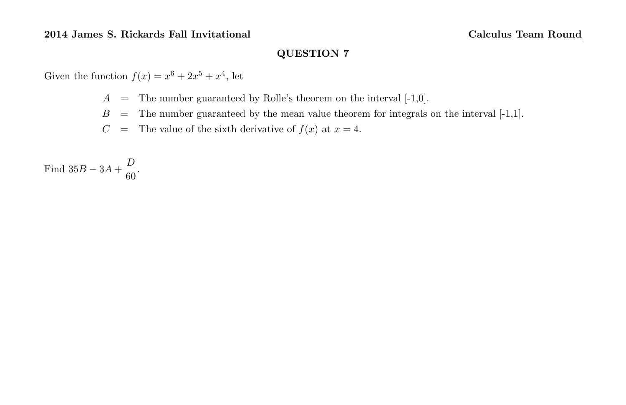Given the function  $f(x) = x^6 + 2x^5 + x^4$ , let

 $A =$  The number guaranteed by Rolle's theorem on the interval  $[-1,0]$ .

 $B =$  The number guaranteed by the mean value theorem for integrals on the interval  $[-1,1]$ .

 $C =$  The value of the sixth derivative of  $f(x)$  at  $x = 4$ .

Find  $35B - 3A + \frac{D}{c}$  $\frac{1}{60}$ .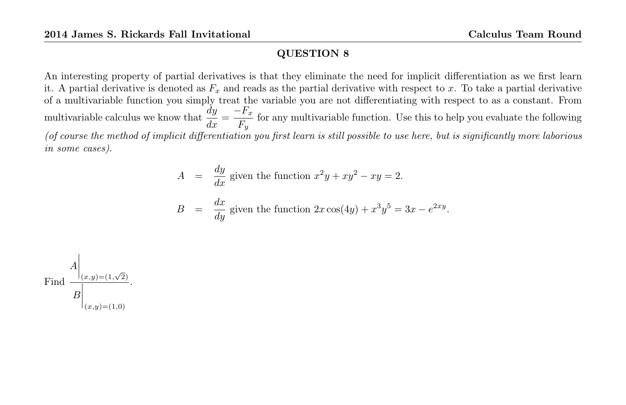An interesting property of partial derivatives is that they eliminate the need for implicit differentiation as we first learn it. A partial derivative is denoted as  $F_x$  and reads as the partial derivative with respect to x. To take a partial derivative of a multivariable function you simply treat the variable you are not differentiating with respect to as a constant. From multivariable calculus we know that  $\frac{dy}{dx} = \frac{-F_x}{F_y}$  $\frac{1}{F_y}$  for any multivariable function. Use this to help you evaluate the following (of course the method of implicit differentiation you first learn is still possible to use here, but is significantly more laborious in some cases).

$$
A = \frac{dy}{dx}
$$
 given the function  $x^2y + xy^2 - xy = 2$ .  
\n
$$
B = \frac{dx}{dy}
$$
 given the function  $2x \cos(4y) + x^3y^5 = 3x - e^{2xy}$ .

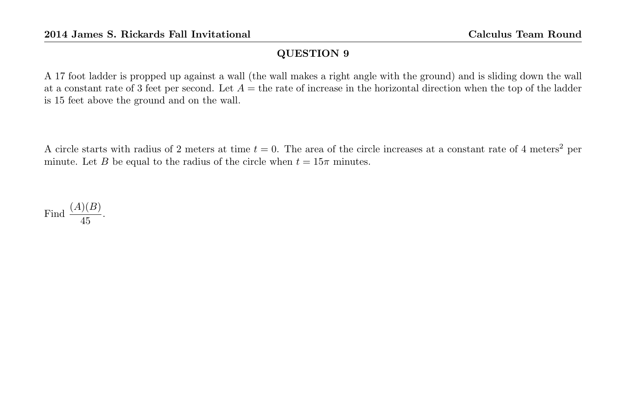A 17 foot ladder is propped up against a wall (the wall makes a right angle with the ground) and is sliding down the wall at a constant rate of 3 feet per second. Let  $A =$  the rate of increase in the horizontal direction when the top of the ladder is 15 feet above the ground and on the wall.

A circle starts with radius of 2 meters at time  $t = 0$ . The area of the circle increases at a constant rate of 4 meters<sup>2</sup> per minute. Let B be equal to the radius of the circle when  $t = 15\pi$  minutes.

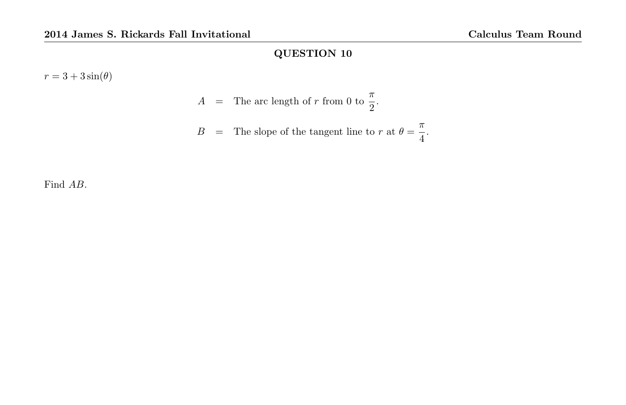$r = 3 + 3\sin(\theta)$ 

$$
A = \text{The arc length of } r \text{ from 0 to } \frac{\pi}{2}.
$$

$$
B = \text{The slope of the tangent line to } r \text{ at } \theta = \frac{\pi}{4}.
$$

Find AB.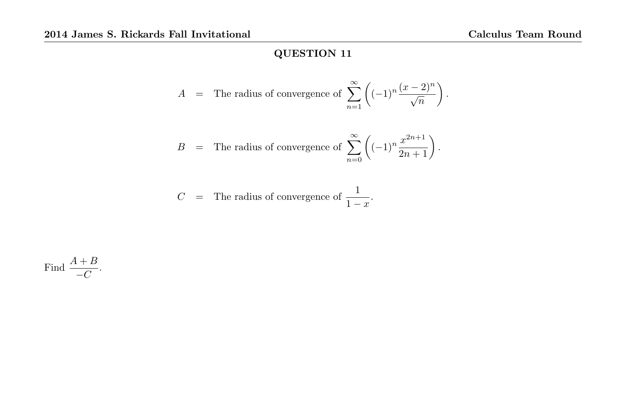$$
A = \text{The radius of the number of matrices } \sum_{n=1}^{\infty} \left( (-1)^n \frac{(x-2)^n}{\sqrt{n}} \right).
$$

$$
B = \text{The radius of the curve of } \sum_{n=0}^{\infty} \left( (-1)^n \frac{x^{2n+1}}{2n+1} \right).
$$

$$
C = \text{The radius of the curve of } \frac{1}{1-x}.
$$

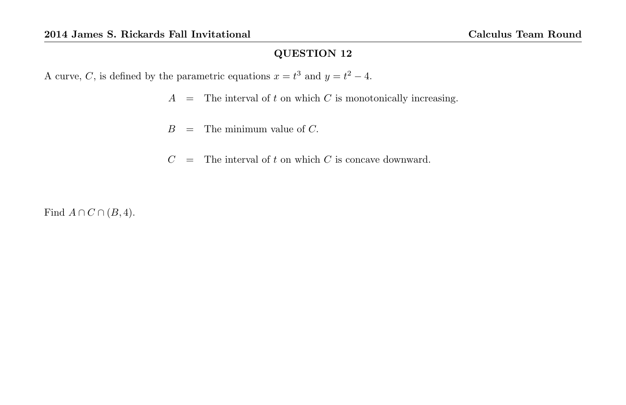A curve, C, is defined by the parametric equations  $x = t^3$  and  $y = t^2 - 4$ .

 $A =$  The interval of t on which C is monotonically increasing.

 $B =$  The minimum value of C.

 $C =$  The interval of t on which C is concave downward.

Find  $A \cap C \cap (B, 4)$ .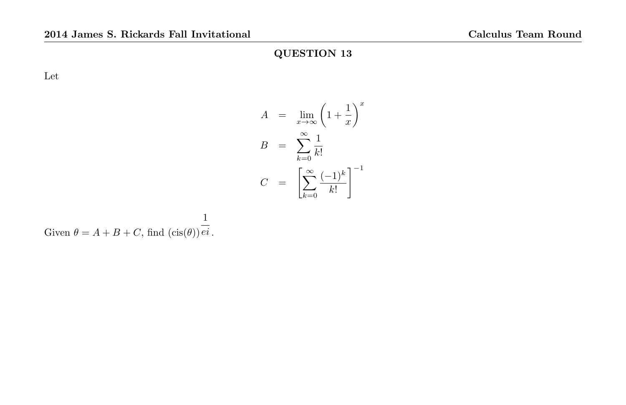Let

$$
A = \lim_{x \to \infty} \left(1 + \frac{1}{x}\right)^x
$$

$$
B = \sum_{k=0}^{\infty} \frac{1}{k!}
$$

$$
C = \left[\sum_{k=0}^{\infty} \frac{(-1)^k}{k!}\right]^{-1}
$$

Given 
$$
\theta = A + B + C
$$
, find  $(\text{cis}(\theta)) \frac{1}{ei}$ .